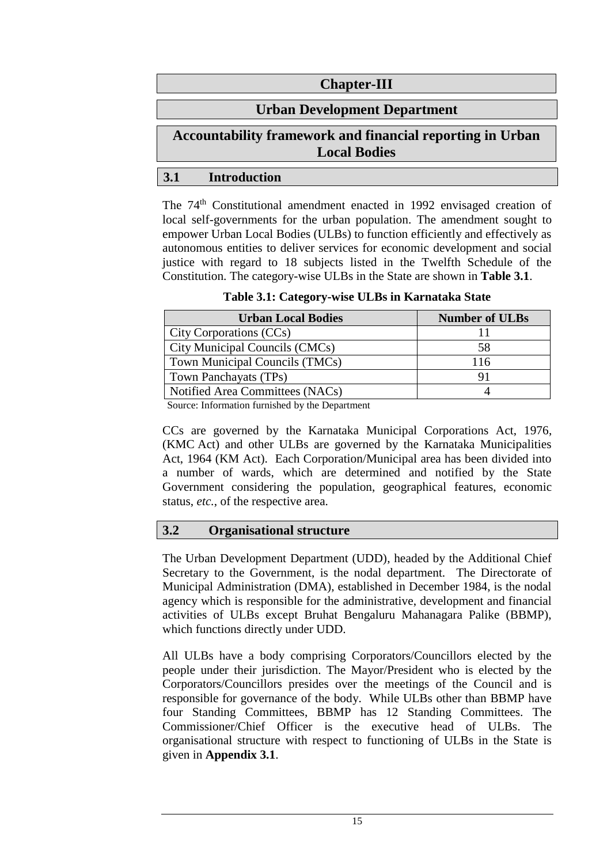# **Chapter-III**

# **Urban Development Department**

# **Accountability framework and financial reporting in Urban Local Bodies**

## **3.1 Introduction**

The 74th Constitutional amendment enacted in 1992 envisaged creation of local self-governments for the urban population. The amendment sought to empower Urban Local Bodies (ULBs) to function efficiently and effectively as autonomous entities to deliver services for economic development and social justice with regard to 18 subjects listed in the Twelfth Schedule of the Constitution. The category-wise ULBs in the State are shown in **Table 3.1**.

**Table 3.1: Category-wise ULBs in Karnataka State**

| <b>Urban Local Bodies</b>       | <b>Number of ULBs</b> |
|---------------------------------|-----------------------|
| City Corporations (CCs)         |                       |
| City Municipal Councils (CMCs)  | 58                    |
| Town Municipal Councils (TMCs)  | 116                   |
| Town Panchayats (TPs)           |                       |
| Notified Area Committees (NACs) |                       |

Source: Information furnished by the Department

CCs are governed by the Karnataka Municipal Corporations Act, 1976, (KMC Act) and other ULBs are governed by the Karnataka Municipalities Act, 1964 (KM Act). Each Corporation/Municipal area has been divided into a number of wards, which are determined and notified by the State Government considering the population, geographical features, economic status, *etc.*, of the respective area.

# **3.2 Organisational structure**

The Urban Development Department (UDD), headed by the Additional Chief Secretary to the Government, is the nodal department. The Directorate of Municipal Administration (DMA), established in December 1984, is the nodal agency which is responsible for the administrative, development and financial activities of ULBs except Bruhat Bengaluru Mahanagara Palike (BBMP), which functions directly under UDD.

All ULBs have a body comprising Corporators/Councillors elected by the people under their jurisdiction. The Mayor/President who is elected by the Corporators/Councillors presides over the meetings of the Council and is responsible for governance of the body. While ULBs other than BBMP have four Standing Committees, BBMP has 12 Standing Committees. The Commissioner/Chief Officer is the executive head of ULBs. The organisational structure with respect to functioning of ULBs in the State is given in **Appendix 3.1**.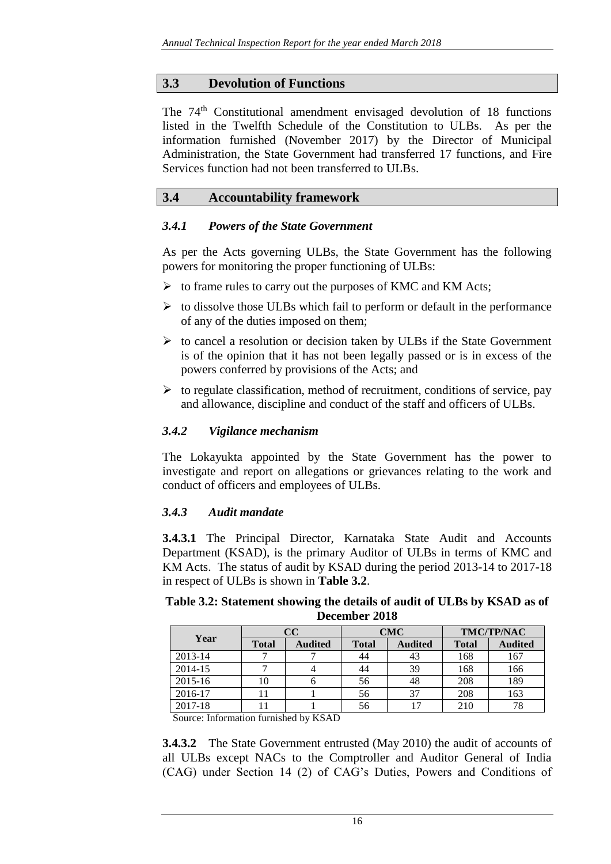## **3.3 Devolution of Functions**

The 74<sup>th</sup> Constitutional amendment envisaged devolution of 18 functions listed in the Twelfth Schedule of the Constitution to ULBs. As per the information furnished (November 2017) by the Director of Municipal Administration, the State Government had transferred 17 functions, and Fire Services function had not been transferred to ULBs.

## **3.4 Accountability framework**

#### *3.4.1 Powers of the State Government*

As per the Acts governing ULBs, the State Government has the following powers for monitoring the proper functioning of ULBs:

- $\triangleright$  to frame rules to carry out the purposes of KMC and KM Acts;
- $\triangleright$  to dissolve those ULBs which fail to perform or default in the performance of any of the duties imposed on them;
- $\triangleright$  to cancel a resolution or decision taken by ULBs if the State Government is of the opinion that it has not been legally passed or is in excess of the powers conferred by provisions of the Acts; and
- $\triangleright$  to regulate classification, method of recruitment, conditions of service, pay and allowance, discipline and conduct of the staff and officers of ULBs.

## *3.4.2 Vigilance mechanism*

The Lokayukta appointed by the State Government has the power to investigate and report on allegations or grievances relating to the work and conduct of officers and employees of ULBs.

#### *3.4.3 Audit mandate*

**3.4.3.1** The Principal Director, Karnataka State Audit and Accounts Department (KSAD), is the primary Auditor of ULBs in terms of KMC and KM Acts. The status of audit by KSAD during the period 2013-14 to 2017-18 in respect of ULBs is shown in **Table 3.2**.

**Table 3.2: Statement showing the details of audit of ULBs by KSAD as of December 2018**

| Year        |              | cc             |              | <b>CMC</b>     | <b>TMC/TP/NAC</b> |                |  |
|-------------|--------------|----------------|--------------|----------------|-------------------|----------------|--|
|             | <b>Total</b> | <b>Audited</b> | <b>Total</b> | <b>Audited</b> | <b>Total</b>      | <b>Audited</b> |  |
| 2013-14     |              |                | 44           | 43             | 168               | 167            |  |
| 2014-15     |              |                | 44           | 39             | 168               | 166            |  |
| $2015 - 16$ |              |                | 56           | 48             | 208               | 189            |  |
| 2016-17     |              |                | 56           | 37             | 208               | 163            |  |
| 2017-18     |              |                | 56           |                | 210               | 78             |  |

Source: Information furnished by KSAD

**3.4.3.2** The State Government entrusted (May 2010) the audit of accounts of all ULBs except NACs to the Comptroller and Auditor General of India (CAG) under Section 14 (2) of CAG's Duties, Powers and Conditions of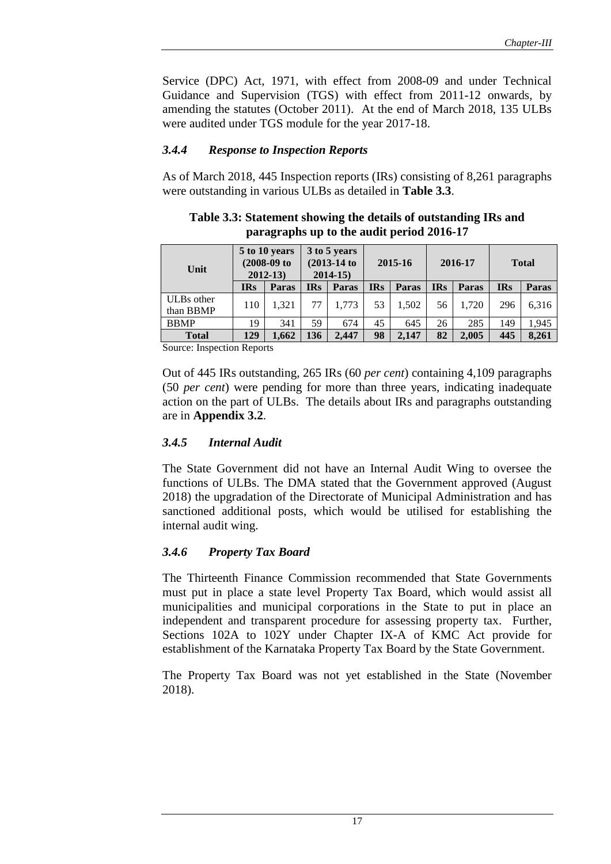Service (DPC) Act, 1971, with effect from 2008-09 and under Technical Guidance and Supervision (TGS) with effect from 2011-12 onwards, by amending the statutes (October 2011). At the end of March 2018, 135 ULBs were audited under TGS module for the year 2017-18.

## *3.4.4 Response to Inspection Reports*

As of March 2018, 445 Inspection reports (IRs) consisting of 8,261 paragraphs were outstanding in various ULBs as detailed in **Table 3.3**.

## **Table 3.3: Statement showing the details of outstanding IRs and paragraphs up to the audit period 2016-17**

|            |       |                                                                              |       | 2015-16                                       |       | 2016-17    |              |            | <b>Total</b> |
|------------|-------|------------------------------------------------------------------------------|-------|-----------------------------------------------|-------|------------|--------------|------------|--------------|
| <b>IRs</b> | Paras | <b>IRs</b>                                                                   | Paras | <b>IRs</b>                                    | Paras | <b>IRs</b> | <b>Paras</b> | <b>IRs</b> | <b>Paras</b> |
| 110        | 1.321 | 77                                                                           | 1.773 | 53                                            | 1.502 | 56         | 1.720        | 296        | 6,316        |
| 19         | 341   | 59                                                                           | 674   | 45                                            | 645   | 26         | 285          | 149        | 1,945        |
| 129        | 1.662 | 136                                                                          | 2.447 | 98                                            | 2.147 | 82         | 2.005        | 445        | 8,261        |
|            |       | 5 to 10 years<br>$(2008-09)$ to<br>$2012 - 13$<br>Compact Leonardian Demonts |       | 3 to 5 years<br>$(2013-14)$ to<br>$2014 - 15$ |       |            |              |            |              |

Source: Inspection Reports

Out of 445 IRs outstanding, 265 IRs (60 *per cent*) containing 4,109 paragraphs (50 *per cent*) were pending for more than three years, indicating inadequate action on the part of ULBs. The details about IRs and paragraphs outstanding are in **Appendix 3.2**.

#### *3.4.5 Internal Audit*

The State Government did not have an Internal Audit Wing to oversee the functions of ULBs. The DMA stated that the Government approved (August 2018) the upgradation of the Directorate of Municipal Administration and has sanctioned additional posts, which would be utilised for establishing the internal audit wing.

#### *3.4.6 Property Tax Board*

The Thirteenth Finance Commission recommended that State Governments must put in place a state level Property Tax Board, which would assist all municipalities and municipal corporations in the State to put in place an independent and transparent procedure for assessing property tax. Further, Sections 102A to 102Y under Chapter IX-A of KMC Act provide for establishment of the Karnataka Property Tax Board by the State Government.

The Property Tax Board was not yet established in the State (November 2018).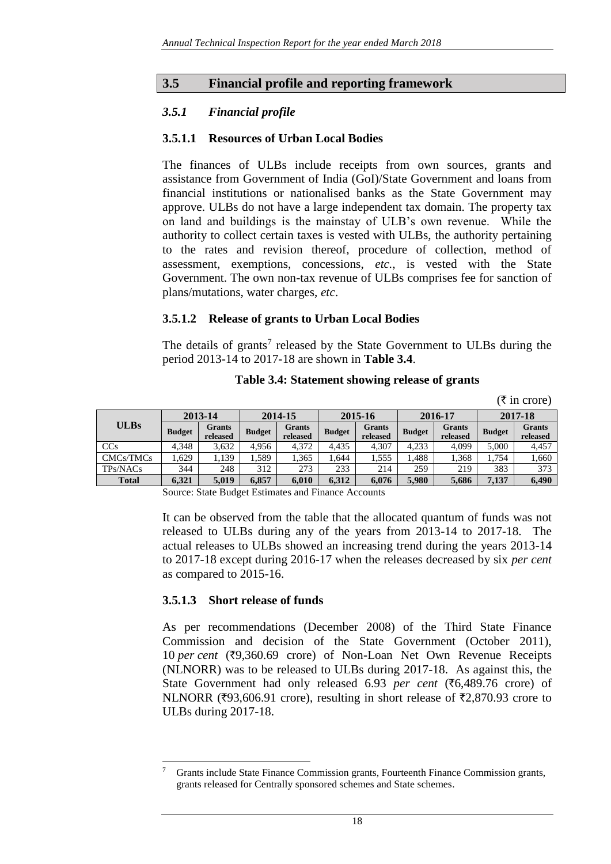## **3.5 Financial profile and reporting framework**

## *3.5.1 Financial profile*

#### **3.5.1.1 Resources of Urban Local Bodies**

The finances of ULBs include receipts from own sources, grants and assistance from Government of India (GoI)/State Government and loans from financial institutions or nationalised banks as the State Government may approve. ULBs do not have a large independent tax domain. The property tax on land and buildings is the mainstay of ULB's own revenue. While the authority to collect certain taxes is vested with ULBs, the authority pertaining to the rates and revision thereof, procedure of collection, method of assessment, exemptions, concessions, *etc.*, is vested with the State Government. The own non-tax revenue of ULBs comprises fee for sanction of plans/mutations, water charges, *etc*.

#### **3.5.1.2 Release of grants to Urban Local Bodies**

The details of grants<sup>7</sup> released by the State Government to ULBs during the period 2013-14 to 2017-18 are shown in **Table 3.4**.

|              |               |                    |               |                           |               |                           |               |                           |               | $(\overline{\tau}$ in crore) |  |
|--------------|---------------|--------------------|---------------|---------------------------|---------------|---------------------------|---------------|---------------------------|---------------|------------------------------|--|
| <b>ULBs</b>  |               | 2013-14            | 2014-15       |                           | 2015-16       |                           |               | 2016-17                   | 2017-18       |                              |  |
|              | <b>Budget</b> | Grants<br>released | <b>Budget</b> | <b>Grants</b><br>released | <b>Budget</b> | <b>Grants</b><br>released | <b>Budget</b> | <b>Grants</b><br>released | <b>Budget</b> | <b>Grants</b><br>released    |  |
| CCs          | 4.348         | 3.632              | 4.956         | 4.372                     | 4.435         | 4,307                     | 4.233         | 4.099                     | 5.000         | 4,457                        |  |
| CMCs/TMCs    | .629          | 1,139              | 1.589         | 1,365                     | 1.644         | 1,555                     | .488          | 1,368                     | 1,754         | 1,660                        |  |
| TPs/NACs     | 344           | 248                | 312           | 273                       | 233           | 214                       | 259           | 219                       | 383           | 373                          |  |
| <b>Total</b> | 6,321         | 5,019              | 6,857         | 6.010                     | 6.312         | 6,076                     | 5,980         | 5,686                     | 7,137         | 6,490                        |  |

**Table 3.4: Statement showing release of grants**

Source: State Budget Estimates and Finance Accounts

It can be observed from the table that the allocated quantum of funds was not released to ULBs during any of the years from 2013-14 to 2017-18. The actual releases to ULBs showed an increasing trend during the years 2013-14 to 2017-18 except during 2016-17 when the releases decreased by six *per cent* as compared to 2015-16.

#### **3.5.1.3 Short release of funds**

 $\overline{a}$ 

As per recommendations (December 2008) of the Third State Finance Commission and decision of the State Government (October 2011), 10 *per cent* (₹9,360.69 crore) of Non-Loan Net Own Revenue Receipts (NLNORR) was to be released to ULBs during 2017-18. As against this, the State Government had only released 6.93 *per cent* (`6,489.76 crore) of NLNORR ( $\overline{z}93,606.91$  crore), resulting in short release of  $\overline{z}2,870.93$  crore to ULBs during 2017-18.

Grants include State Finance Commission grants, Fourteenth Finance Commission grants, grants released for Centrally sponsored schemes and State schemes.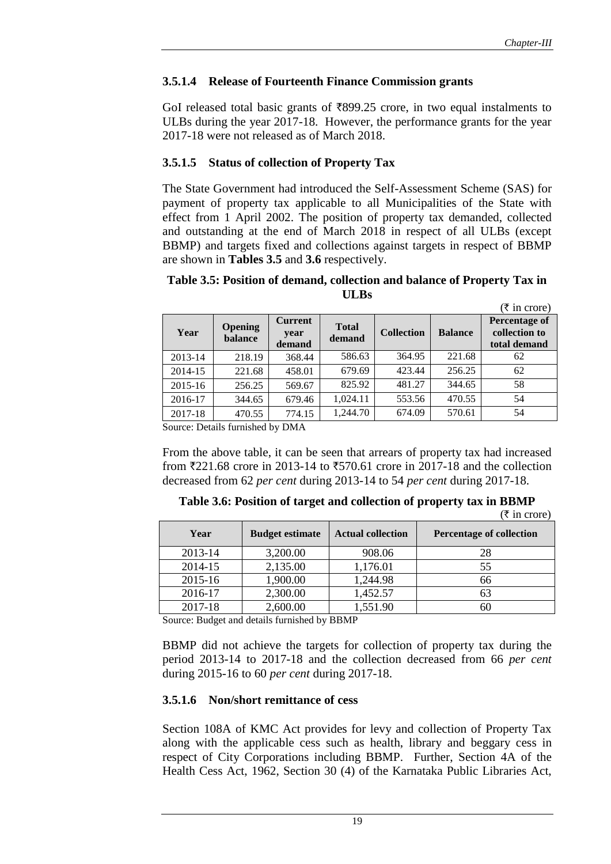## **3.5.1.4 Release of Fourteenth Finance Commission grants**

GoI released total basic grants of  $\overline{899.25}$  crore, in two equal instalments to ULBs during the year 2017-18. However, the performance grants for the year 2017-18 were not released as of March 2018.

#### **3.5.1.5 Status of collection of Property Tax**

The State Government had introduced the Self-Assessment Scheme (SAS) for payment of property tax applicable to all Municipalities of the State with effect from 1 April 2002. The position of property tax demanded, collected and outstanding at the end of March 2018 in respect of all ULBs (except BBMP) and targets fixed and collections against targets in respect of BBMP are shown in **Tables 3.5** and **3.6** respectively.

#### **Table 3.5: Position of demand, collection and balance of Property Tax in ULBs**

|         |                           |                                  |                        |                   |                | $(\overline{\tau}$ in crore)                   |
|---------|---------------------------|----------------------------------|------------------------|-------------------|----------------|------------------------------------------------|
| Year    | <b>Opening</b><br>balance | <b>Current</b><br>year<br>demand | <b>Total</b><br>demand | <b>Collection</b> | <b>Balance</b> | Percentage of<br>collection to<br>total demand |
| 2013-14 | 218.19                    | 368.44                           | 586.63                 | 364.95            | 221.68         | 62                                             |
| 2014-15 | 221.68                    | 458.01                           | 679.69                 | 423.44            | 256.25         | 62                                             |
| 2015-16 | 256.25                    | 569.67                           | 825.92                 | 481.27            | 344.65         | 58                                             |
| 2016-17 | 344.65                    | 679.46                           | 1,024.11               | 553.56            | 470.55         | 54                                             |
| 2017-18 | 470.55                    | 774.15                           | 1,244.70               | 674.09            | 570.61         | 54                                             |

Source: Details furnished by DMA

From the above table, it can be seen that arrears of property tax had increased from  $\overline{221.68}$  crore in 2013-14 to  $\overline{570.61}$  crore in 2017-18 and the collection decreased from 62 *per cent* during 2013-14 to 54 *per cent* during 2017-18.

**Table 3.6: Position of target and collection of property tax in BBMP**

| Year | <b>Budget estimate</b> | <b>Actual collection</b> |  | <b>Percentage of collection</b> |
|------|------------------------|--------------------------|--|---------------------------------|
|      |                        |                          |  | $(\overline{\xi}$ in crore)     |

| Year    | <b>Budget estimate</b> | <b>Actual collection</b> | <b>Percentage of collection</b> |
|---------|------------------------|--------------------------|---------------------------------|
| 2013-14 | 3,200.00               | 908.06                   | 28                              |
| 2014-15 | 2,135.00               | 1,176.01                 | 55                              |
| 2015-16 | 1,900.00               | 1,244.98                 | 66                              |
| 2016-17 | 2,300.00               | 1,452.57                 | 63                              |
| 2017-18 | 2,600.00               | 1,551.90                 |                                 |

Source: Budget and details furnished by BBMP

BBMP did not achieve the targets for collection of property tax during the period 2013-14 to 2017-18 and the collection decreased from 66 *per cent* during 2015-16 to 60 *per cent* during 2017-18.

#### **3.5.1.6 Non/short remittance of cess**

Section 108A of KMC Act provides for levy and collection of Property Tax along with the applicable cess such as health, library and beggary cess in respect of City Corporations including BBMP. Further, Section 4A of the Health Cess Act, 1962, Section 30 (4) of the Karnataka Public Libraries Act,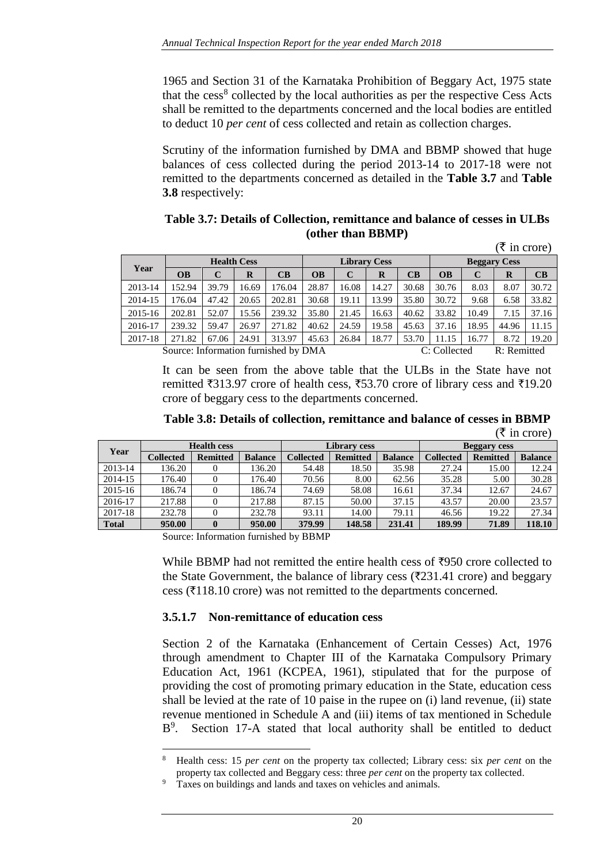1965 and Section 31 of the Karnataka Prohibition of Beggary Act, 1975 state that the cess<sup>8</sup> collected by the local authorities as per the respective Cess Acts shall be remitted to the departments concerned and the local bodies are entitled to deduct 10 *per cent* of cess collected and retain as collection charges.

Scrutiny of the information furnished by DMA and BBMP showed that huge balances of cess collected during the period 2013-14 to 2017-18 were not remitted to the departments concerned as detailed in the **Table 3.7** and **Table 3.8** respectively:

| Table 3.7: Details of Collection, remittance and balance of cesses in ULBs |  |
|----------------------------------------------------------------------------|--|
| (other than BBMP)                                                          |  |

|         |                                      |       |                    |        |                     |       |       |       |                     |       | $(\bar{\tau}$ in crore) |       |
|---------|--------------------------------------|-------|--------------------|--------|---------------------|-------|-------|-------|---------------------|-------|-------------------------|-------|
|         |                                      |       | <b>Health Cess</b> |        | <b>Library Cess</b> |       |       |       | <b>Beggary Cess</b> |       |                         |       |
| Year    | <b>OB</b>                            | C     | R                  | CB     | <b>OB</b>           | C     | R     | CB    | <b>OB</b>           | C     | $\bf{R}$                | CB    |
| 2013-14 | 152.94                               | 39.79 | 16.69              | 176.04 | 28.87               | 16.08 | 14.27 | 30.68 | 30.76               | 8.03  | 8.07                    | 30.72 |
| 2014-15 | 176.04                               | 47.42 | 20.65              | 202.81 | 30.68               | 19.11 | 13.99 | 35.80 | 30.72               | 9.68  | 6.58                    | 33.82 |
| 2015-16 | 202.81                               | 52.07 | 15.56              | 239.32 | 35.80               | 21.45 | 16.63 | 40.62 | 33.82               | 10.49 | 7.15                    | 37.16 |
| 2016-17 | 239.32                               | 59.47 | 26.97              | 271.82 | 40.62               | 24.59 | 19.58 | 45.63 | 37.16               | 18.95 | 44.96                   | 11.15 |
| 2017-18 | 271.82                               | 67.06 | 24.91              | 313.97 | 45.63               | 26.84 | 18.77 | 53.70 | 11.15               | 16.77 | 8.72                    | 19.20 |
|         | Source: Information furnished by DMA |       |                    |        |                     |       |       |       | C: Collected        |       | R: Remitted             |       |

It can be seen from the above table that the ULBs in the State have not remitted ₹313.97 crore of health cess, ₹53.70 crore of library cess and ₹19.20 crore of beggary cess to the departments concerned.

**Table 3.8: Details of collection, remittance and balance of cesses in BBMP**  $(\bar{\tau}$  in crore)

|              | $\lambda$ in vivie |                    |                |           |                     |                |                     |                 |                |  |  |  |
|--------------|--------------------|--------------------|----------------|-----------|---------------------|----------------|---------------------|-----------------|----------------|--|--|--|
| Year         |                    | <b>Health cess</b> |                |           | <b>Library cess</b> |                | <b>Beggary cess</b> |                 |                |  |  |  |
|              | <b>Collected</b>   | <b>Remitted</b>    | <b>Balance</b> | Collected | <b>Remitted</b>     | <b>Balance</b> | <b>Collected</b>    | <b>Remitted</b> | <b>Balance</b> |  |  |  |
| 2013-14      | 136.20             |                    | 136.20         | 54.48     | 18.50               | 35.98          | 27.24               | 15.00           | 12.24          |  |  |  |
| 2014-15      | 176.40             |                    | 76.40          | 70.56     | 8.00                | 62.56          | 35.28               | 5.00            | 30.28          |  |  |  |
| 2015-16      | 186.74             |                    | 186.74         | 74.69     | 58.08               | 16.61          | 37.34               | 12.67           | 24.67          |  |  |  |
| 2016-17      | 217.88             |                    | 217.88         | 87.15     | 50.00               | 37.15          | 43.57               | 20.00           | 23.57          |  |  |  |
| 2017-18      | 232.78             |                    | 232.78         | 93.11     | 14.00               | 79.11          | 46.56               | 19.22           | 27.34          |  |  |  |
| <b>Total</b> | 950.00             |                    | 950.00         | 379.99    | 148.58              | 231.41         | 189.99              | 71.89           | 118.10         |  |  |  |

Source: Information furnished by BBMP

l

While BBMP had not remitted the entire health cess of  $\overline{z}950$  crore collected to the State Government, the balance of library cess ( $\overline{\tau}$ 231.41 crore) and beggary cess ( $\overline{\tau}$ 118.10 crore) was not remitted to the departments concerned.

#### **3.5.1.7 Non-remittance of education cess**

Section 2 of the Karnataka (Enhancement of Certain Cesses) Act, 1976 through amendment to Chapter III of the Karnataka Compulsory Primary Education Act, 1961 (KCPEA, 1961), stipulated that for the purpose of providing the cost of promoting primary education in the State, education cess shall be levied at the rate of 10 paise in the rupee on (i) land revenue, (ii) state revenue mentioned in Schedule A and (iii) items of tax mentioned in Schedule B<sup>9</sup>. Section 17-A stated that local authority shall be entitled to deduct

<sup>8</sup> Health cess: 15 *per cent* on the property tax collected; Library cess: six *per cent* on the property tax collected and Beggary cess: three *per cent* on the property tax collected.

Taxes on buildings and lands and taxes on vehicles and animals.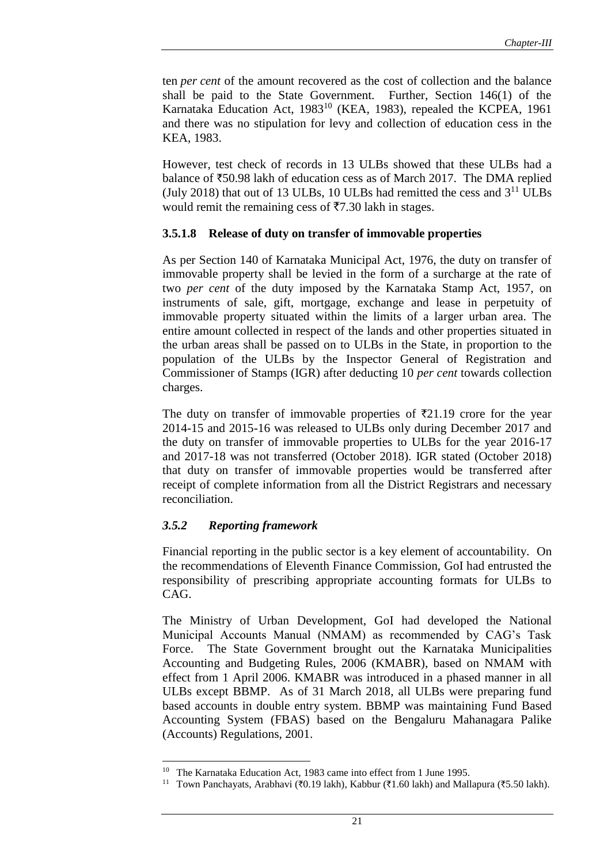ten *per cent* of the amount recovered as the cost of collection and the balance shall be paid to the State Government. Further, Section 146(1) of the Karnataka Education Act, 1983<sup>10</sup> (KEA, 1983), repealed the KCPEA, 1961 and there was no stipulation for levy and collection of education cess in the KEA, 1983.

However, test check of records in 13 ULBs showed that these ULBs had a balance of  $\text{\textsterling}50.98$  lakh of education cess as of March 2017. The DMA replied (July 2018) that out of 13 ULBs, 10 ULBs had remitted the cess and  $3<sup>11</sup>$  ULBs would remit the remaining cess of  $\overline{57.30}$  lakh in stages.

#### **3.5.1.8 Release of duty on transfer of immovable properties**

As per Section 140 of Karnataka Municipal Act, 1976, the duty on transfer of immovable property shall be levied in the form of a surcharge at the rate of two *per cent* of the duty imposed by the Karnataka Stamp Act, 1957, on instruments of sale, gift, mortgage, exchange and lease in perpetuity of immovable property situated within the limits of a larger urban area. The entire amount collected in respect of the lands and other properties situated in the urban areas shall be passed on to ULBs in the State, in proportion to the population of the ULBs by the Inspector General of Registration and Commissioner of Stamps (IGR) after deducting 10 *per cent* towards collection charges.

The duty on transfer of immovable properties of  $\bar{\tau}$ 21.19 crore for the year 2014-15 and 2015-16 was released to ULBs only during December 2017 and the duty on transfer of immovable properties to ULBs for the year 2016-17 and 2017-18 was not transferred (October 2018). IGR stated (October 2018) that duty on transfer of immovable properties would be transferred after receipt of complete information from all the District Registrars and necessary reconciliation.

#### *3.5.2 Reporting framework*

 $\overline{a}$ 

Financial reporting in the public sector is a key element of accountability. On the recommendations of Eleventh Finance Commission, GoI had entrusted the responsibility of prescribing appropriate accounting formats for ULBs to CAG.

The Ministry of Urban Development, GoI had developed the National Municipal Accounts Manual (NMAM) as recommended by CAG's Task Force. The State Government brought out the Karnataka Municipalities Accounting and Budgeting Rules, 2006 (KMABR), based on NMAM with effect from 1 April 2006. KMABR was introduced in a phased manner in all ULBs except BBMP. As of 31 March 2018, all ULBs were preparing fund based accounts in double entry system. BBMP was maintaining Fund Based Accounting System (FBAS) based on the Bengaluru Mahanagara Palike (Accounts) Regulations, 2001.

<sup>&</sup>lt;sup>10</sup> The Karnataka Education Act, 1983 came into effect from 1 June 1995.

<sup>&</sup>lt;sup>11</sup> Town Panchayats, Arabhavi (₹0.19 lakh), Kabbur (₹1.60 lakh) and Mallapura (₹5.50 lakh).